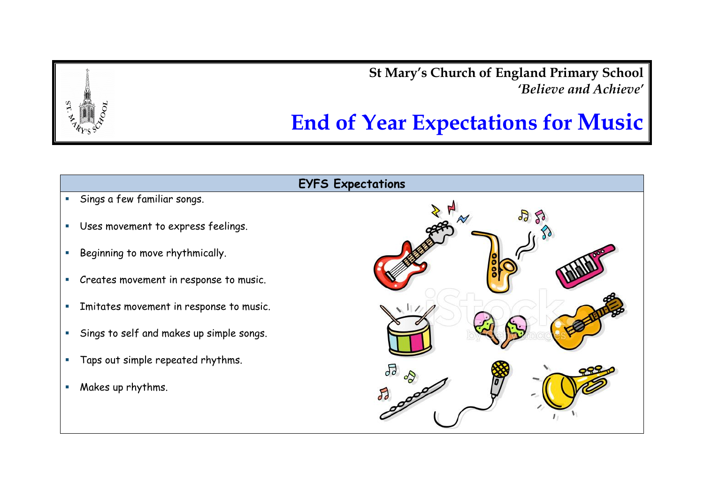**St Mary's Church of England Primary School** *'Believe and Achieve'*

## **End of Year Expectations for Music**

## **EYFS Expectations**

- Sings a few familiar songs.
- Uses movement to express feelings.
- Beginning to move rhythmically.
- Creates movement in response to music.
- **Imitates movement in response to music.**
- Sings to self and makes up simple songs.
- Taps out simple repeated rhythms.
- **Makes up rhythms.**